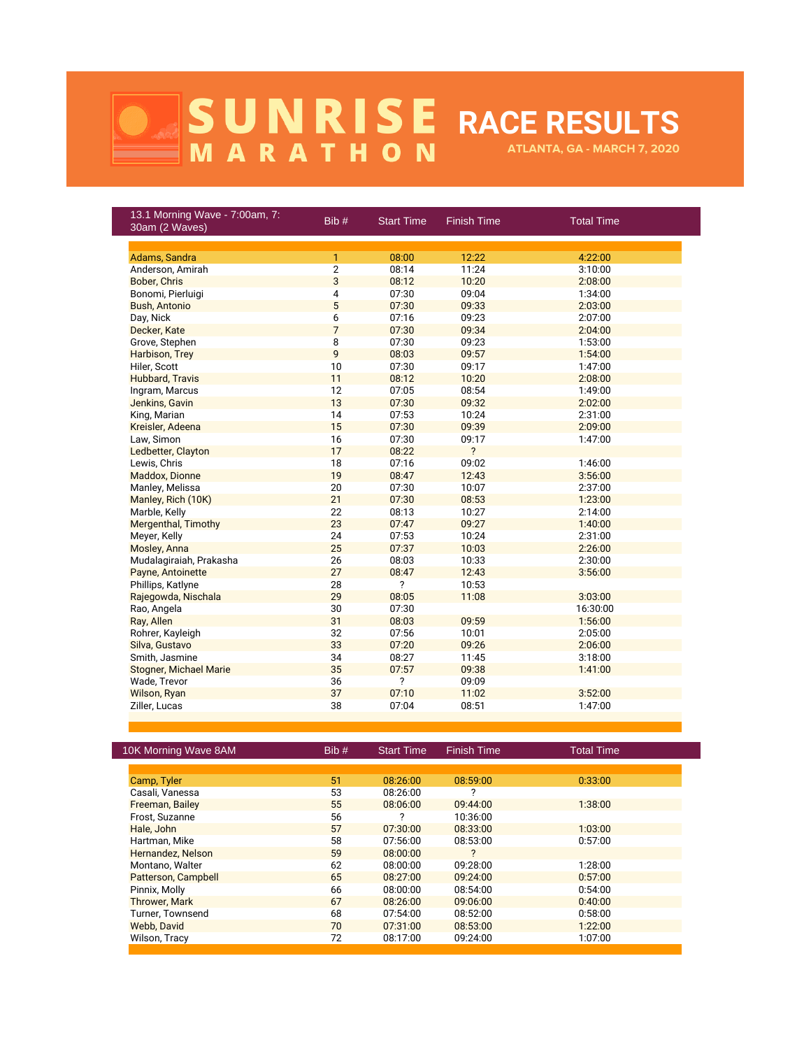## **RACE RESULTS ATLANTA, GA - MARCH 7, 2020**

| 13.1 Morning Wave - 7:00am, 7:<br>30am (2 Waves) | Bib#           | <b>Start Time</b> | Finish Time    | <b>Total Time</b> |
|--------------------------------------------------|----------------|-------------------|----------------|-------------------|
|                                                  |                |                   |                |                   |
| Adams, Sandra                                    | 1              | 08:00             | 12:22          | 4:22:00           |
| Anderson, Amirah                                 | $\overline{2}$ | 08:14             | 11:24          | 3:10:00           |
| Bober, Chris                                     | 3              | 08:12             | 10:20          | 2:08:00           |
| Bonomi, Pierluigi                                | 4              | 07:30             | 09:04          | 1:34:00           |
| <b>Bush, Antonio</b>                             | 5              | 07:30             | 09:33          | 2:03:00           |
| Day, Nick                                        | 6              | 07:16             | 09:23          | 2:07:00           |
| Decker, Kate                                     | $\overline{7}$ | 07:30             | 09:34          | 2:04:00           |
| Grove, Stephen                                   | 8              | 07:30             | 09:23          | 1:53:00           |
| Harbison, Trey                                   | 9              | 08:03             | 09:57          | 1:54:00           |
| Hiler, Scott                                     | 10             | 07:30             | 09:17          | 1:47:00           |
| Hubbard, Travis                                  | 11             | 08:12             | 10:20          | 2:08:00           |
| Ingram, Marcus                                   | 12             | 07:05             | 08:54          | 1:49:00           |
| Jenkins, Gavin                                   | 13             | 07:30             | 09:32          | 2:02:00           |
| King, Marian                                     | 14             | 07:53             | 10:24          | 2:31:00           |
| Kreisler, Adeena                                 | 15             | 07:30             | 09:39          | 2:09:00           |
| Law, Simon                                       | 16             | 07:30             | 09:17          | 1:47:00           |
| Ledbetter, Clayton                               | 17             | 08:22             | $\overline{?}$ |                   |
| Lewis, Chris                                     | 18             | 07:16             | 09:02          | 1:46:00           |
| Maddox, Dionne                                   | 19             | 08:47             | 12:43          | 3:56:00           |
| Manley, Melissa                                  | 20             | 07:30             | 10:07          | 2:37:00           |
| Manley, Rich (10K)                               | 21             | 07:30             | 08:53          | 1:23:00           |
| Marble, Kelly                                    | 22             | 08:13             | 10:27          | 2:14:00           |
| Mergenthal, Timothy                              | 23             | 07:47             | 09:27          | 1:40:00           |
| Meyer, Kelly                                     | 24             | 07:53             | 10:24          | 2:31:00           |
| Mosley, Anna                                     | 25             | 07:37             | 10:03          | 2:26:00           |
| Mudalagiraiah, Prakasha                          | 26             | 08:03             | 10:33          | 2:30:00           |
| Payne, Antoinette                                | 27             | 08:47             | 12:43          | 3:56:00           |
| Phillips, Katlyne                                | 28             | ?                 | 10:53          |                   |
| Rajegowda, Nischala                              | 29             | 08:05             | 11:08          | 3:03:00           |
| Rao, Angela                                      | 30             | 07:30             |                | 16:30:00          |
| Ray, Allen                                       | 31             | 08:03             | 09:59          | 1:56:00           |
| Rohrer, Kayleigh                                 | 32             | 07:56             | 10:01          | 2:05:00           |
| Silva, Gustavo                                   | 33             | 07:20             | 09:26          | 2:06:00           |
| Smith, Jasmine                                   | 34             | 08:27             | 11:45          | 3:18:00           |
| <b>Stogner, Michael Marie</b>                    | 35             | 07:57             | 09:38          | 1:41:00           |
| Wade, Trevor                                     | 36             | ?                 | 09:09          |                   |
| Wilson, Ryan                                     | 37             | 07:10             | 11:02          | 3:52:00           |
| Ziller, Lucas                                    | 38             | 07:04             | 08:51          | 1:47:00           |
|                                                  |                |                   |                |                   |

| 10K Morning Wave 8AM | Bib# | <b>Start Time</b> | <b>Finish Time</b>         | <b>Total Time</b> |
|----------------------|------|-------------------|----------------------------|-------------------|
|                      |      |                   |                            |                   |
| Camp, Tyler          | 51   | 08:26:00          | 08:59:00                   | 0:33:00           |
| Casali, Vanessa      | 53   | 08:26:00          |                            |                   |
| Freeman, Bailey      | 55   | 08:06:00          | 09:44:00                   | 1:38:00           |
| Frost, Suzanne       | 56   | 2                 | 10:36:00                   |                   |
| Hale, John           | 57   | 07:30:00          | 08:33:00                   | 1:03:00           |
| Hartman, Mike        | 58   | 07:56:00          | 08:53:00                   | 0:57:00           |
| Hernandez, Nelson    | 59   | 08:00:00          | $\boldsymbol{\mathcal{P}}$ |                   |
| Montano, Walter      | 62   | 08:00:00          | 09:28:00                   | 1:28:00           |
| Patterson, Campbell  | 65   | 08:27:00          | 09:24:00                   | 0:57:00           |
| Pinnix, Molly        | 66   | 08:00:00          | 08:54:00                   | 0:54:00           |
| <b>Thrower, Mark</b> | 67   | 08:26:00          | 09:06:00                   | 0:40:00           |
| Turner, Townsend     | 68   | 07:54:00          | 08:52:00                   | 0:58:00           |
| Webb, David          | 70   | 07:31:00          | 08:53:00                   | 1:22:00           |
| Wilson, Tracy        | 72   | 08:17:00          | 09:24:00                   | 1:07:00           |